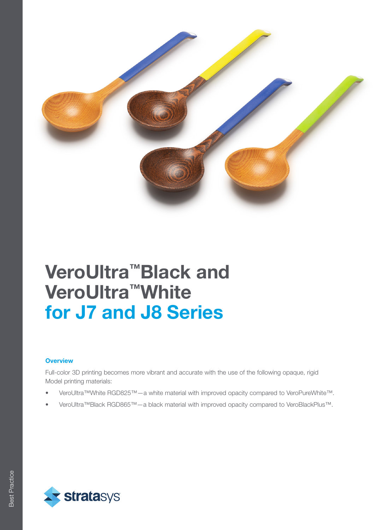

# VeroUltra™Black and VeroUltra™White for J7 and J8 Series

#### **Overview**

Full-color 3D printing becomes more vibrant and accurate with the use of the following opaque, rigid Model printing materials:

- VeroUltra™White RGD825™—a white material with improved opacity compared to VeroPureWhite™.
- VeroUltra™Black RGD865™—a black material with improved opacity compared to VeroBlackPlus™.

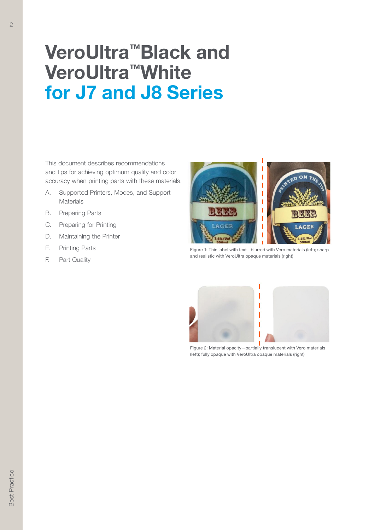# VeroUltra™Black and VeroUltra™White for J7 and J8 Series

This document describes recommendations and tips for achieving optimum quality and color accuracy when printing parts with these materials.

- A. Supported Printers, Modes, and Support **Materials**
- B. Preparing Parts
- C. Preparing for Printing
- D. Maintaining the Printer
- E. Printing Parts
- F. Part Quality



Figure 1: Thin label with text—blurred with Vero materials (left); sharp and realistic with VeroUltra opaque materials (right)



Figure 2: Material opacity—partially translucent with Vero materials (left); fully opaque with VeroUltra opaque materials (right)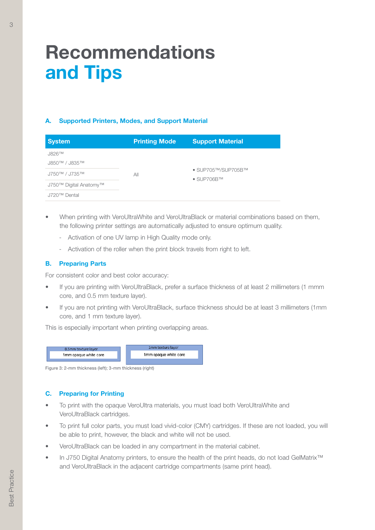## Recommendations and Tips

### A. Supported Printers, Modes, and Support Material

| <b>System</b>                           | <b>Printing Mode</b> | <b>Support Material</b>                                                      |
|-----------------------------------------|----------------------|------------------------------------------------------------------------------|
| $J826$ <sup>TM</sup>                    |                      |                                                                              |
| <b>J850™ / J835™</b>                    | All                  | $\bullet$ SUP705 <sup>TM</sup> /SUP705BTM<br>$\bullet$ SUP706B <sup>TM</sup> |
| $J750^{\text{TM}}$ / $J735^{\text{TM}}$ |                      |                                                                              |
| J750™ Digital Anatomy™                  |                      |                                                                              |
| J720™ Dental                            |                      |                                                                              |

- When printing with VeroUltraWhite and VeroUltraBlack or material combinations based on them, the following printer settings are automatically adjusted to ensure optimum quality.
	- Activation of one UV lamp in High Quality mode only.
	- Activation of the roller when the print block travels from right to left.

#### B. Preparing Parts

For consistent color and best color accuracy:

- If you are printing with VeroUltraBlack, prefer a surface thickness of at least 2 millimeters (1 mmm core, and 0.5 mm texture layer).
- If you are not printing with VeroUltraBlack, surface thickness should be at least 3 millimeters (1mm core, and 1 mm texture layer).

This is especially important when printing overlapping areas.



Figure 3: 2-mm thickness (left); 3-mm thickness (right)

### C. Preparing for Printing

- To print with the opaque VeroUltra materials, you must load both VeroUltraWhite and VeroUltraBlack cartridges.
- To print full color parts, you must load vivid-color (CMY) cartridges. If these are not loaded, you will be able to print, however, the black and white will not be used.
- VeroUltraBlack can be loaded in any compartment in the material cabinet.
- In J750 Digital Anatomy printers, to ensure the health of the print heads, do not load GelMatrix<sup>™</sup> and VeroUltraBlack in the adjacent cartridge compartments (same print head).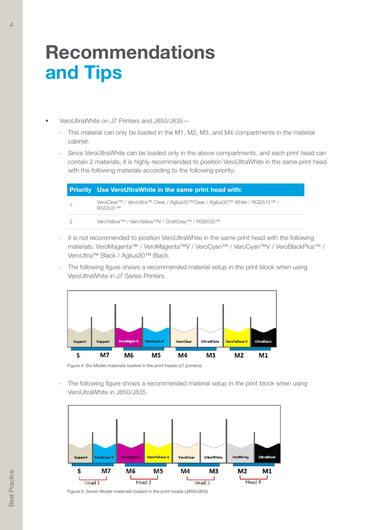## Recommendations and Tips

- VeroUltraWhite on J7 Printers and J850/J835—
	- This material can only be loaded in the M1, M2, M3, and M4 compartments in the material cabinet.
	- Since VeroUltraWhite can be loaded only in the above compartments, and each print head can contain 2 materials, it is highly recommended to position VeroUltraWhite in the same print head with the following materials according to the following priority:

| <b>Priority</b> Use VeroUltraWhite in the same print head with:                                |  |
|------------------------------------------------------------------------------------------------|--|
| VeroClear™ / VeroUltra™ Clear / Agilus30™Clear / Agilus30™ White / RGD515™ /<br><b>RGD531™</b> |  |
| VeroYellow™ / VeroYellow™V / DraftGrey™ / RGD535™                                              |  |

- It is not recommended to position VeroUltraWhite in the same print head with the following materials: VeroMagenta™ / VeroMagenta™V / VeroCyan™ / VeroCyan™V / VeroBlackPlus™ / VeroUltra™ Black / Agilus30™ Black.
- The following figure shows a recommended material setup in the print block when using VeroUltraWhite in J7 Series Printers.



Figure 4: Six Model materials loaded in the print heads (J7 printers)

The following figure shows a recommended material setup in the print block when using VeroUltraWhite in J850/J835.



Figure 5: Seven Model materials loaded in the print heads (J850/J835)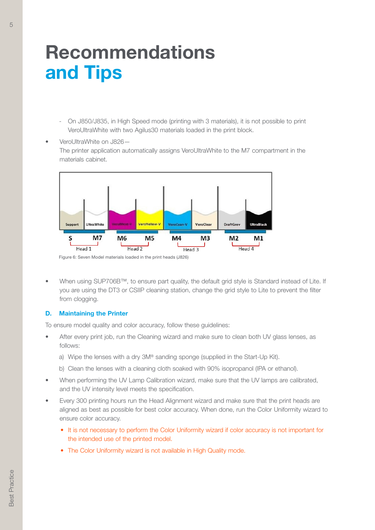## Recommendations and Tips

- On J850/J835, in High Speed mode (printing with 3 materials), it is not possible to print VeroUltraWhite with two Agilus30 materials loaded in the print block.
- VeroUltraWhite on J826— The printer application automatically assigns VeroUltraWhite to the M7 compartment in the materials cabinet.



Figure 6: Seven Model materials loaded in the print heads (J826)

• When using SUP706B™, to ensure part quality, the default grid style is Standard instead of Lite. If you are using the DT3 or CSIIP cleaning station, change the grid style to Lite to prevent the filter from clogging.

#### D. Maintaining the Printer

To ensure model quality and color accuracy, follow these guidelines:

- After every print job, run the Cleaning wizard and make sure to clean both UV glass lenses, as follows:
	- a) Wipe the lenses with a dry 3M® sanding sponge (supplied in the Start-Up Kit).
	- b) Clean the lenses with a cleaning cloth soaked with 90% isopropanol (IPA or ethanol).
- When performing the UV Lamp Calibration wizard, make sure that the UV lamps are calibrated, and the UV intensity level meets the specification.
- Every 300 printing hours run the Head Alignment wizard and make sure that the print heads are aligned as best as possible for best color accuracy. When done, run the Color Uniformity wizard to ensure color accuracy.